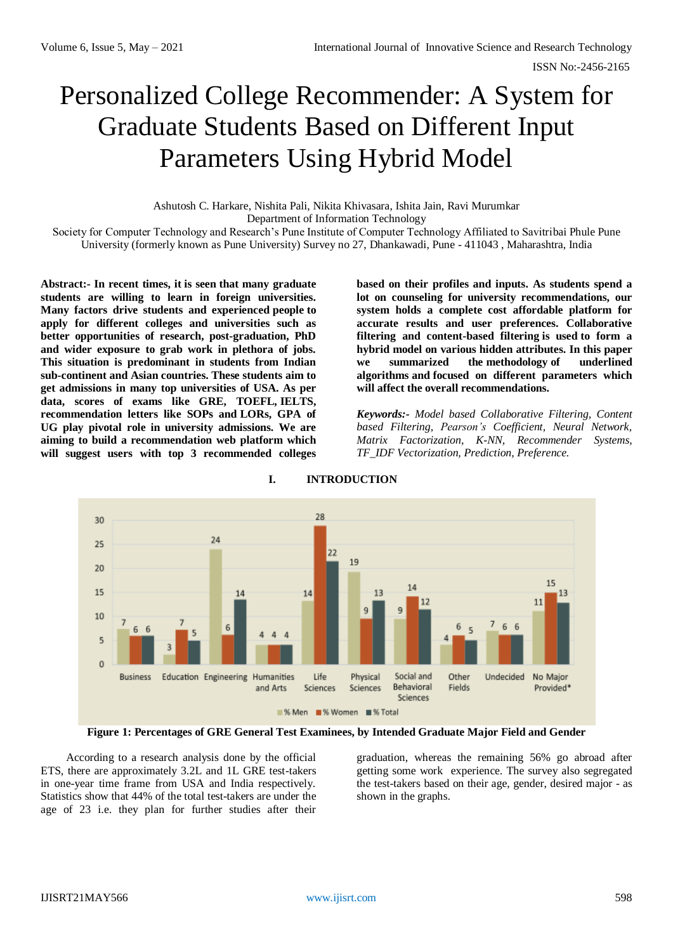# Personalized College Recommender: A System for Graduate Students Based on Different Input Parameters Using Hybrid Model

Ashutosh C. Harkare, Nishita Pali, Nikita Khivasara, Ishita Jain, Ravi Murumkar Department of Information Technology

Society for Computer Technology and Research's Pune Institute of Computer Technology Affiliated to Savitribai Phule Pune University (formerly known as Pune University) Survey no 27, Dhankawadi, Pune - 411043 , Maharashtra, India

**Abstract:- In recent times, it is seen that many graduate students are willing to learn in foreign universities. Many factors drive students and experienced people to apply for different colleges and universities such as better opportunities of research, post-graduation, PhD and wider exposure to grab work in plethora of jobs. This situation is predominant in students from Indian sub-continent and Asian countries. These students aim to get admissions in many top universities of USA. As per data, scores of exams like GRE, TOEFL, IELTS, recommendation letters like SOPs and LORs, GPA of UG play pivotal role in university admissions. We are aiming to build a recommendation web platform which will suggest users with top 3 recommended colleges**  **based on their profiles and inputs. As students spend a lot on counseling for university recommendations, our system holds a complete cost affordable platform for accurate results and user preferences. Collaborative filtering and content-based filtering is used to form a hybrid model on various hidden attributes. In this paper we summarized the methodology of underlined algorithms and focused on different parameters which will affect the overall recommendations.**

*Keywords:- Model based Collaborative Filtering, Content based Filtering, Pearson's Coefficient, Neural Network, Matrix Factorization, K-NN, Recommender Systems, TF\_IDF Vectorization, Prediction, Preference.*



**I. INTRODUCTION**

**Figure 1: Percentages of GRE General Test Examinees, by Intended Graduate Major Field and Gender**

According to a research analysis done by the official ETS, there are approximately 3.2L and 1L GRE test-takers in one-year time frame from USA and India respectively. Statistics show that 44% of the total test-takers are under the age of 23 i.e. they plan for further studies after their

graduation, whereas the remaining 56% go abroad after getting some work experience. The survey also segregated the test-takers based on their age, gender, desired major - as shown in the graphs.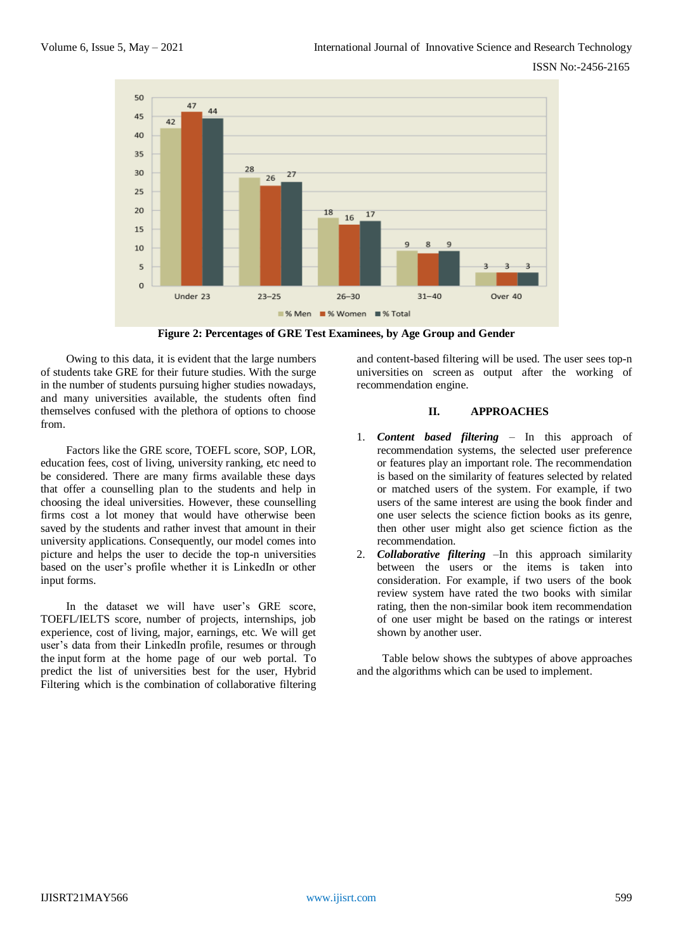

**Figure 2: Percentages of GRE Test Examinees, by Age Group and Gender**

Owing to this data, it is evident that the large numbers of students take GRE for their future studies. With the surge in the number of students pursuing higher studies nowadays, and many universities available, the students often find themselves confused with the plethora of options to choose from.

Factors like the GRE score, TOEFL score, SOP, LOR, education fees, cost of living, university ranking, etc need to be considered. There are many firms available these days that offer a counselling plan to the students and help in choosing the ideal universities. However, these counselling firms cost a lot money that would have otherwise been saved by the students and rather invest that amount in their university applications. Consequently, our model comes into picture and helps the user to decide the top-n universities based on the user's profile whether it is LinkedIn or other input forms.

In the dataset we will have user's GRE score, TOEFL/IELTS score, number of projects, internships, job experience, cost of living, major, earnings, etc. We will get user's data from their LinkedIn profile, resumes or through the input form at the home page of our web portal. To predict the list of universities best for the user, Hybrid Filtering which is the combination of collaborative filtering

and content-based filtering will be used. The user sees top-n universities on screen as output after the working of recommendation engine.

# **II. APPROACHES**

- 1. *Content based filtering* In this approach of recommendation systems, the selected user preference or features play an important role. The recommendation is based on the similarity of features selected by related or matched users of the system. For example, if two users of the same interest are using the book finder and one user selects the science fiction books as its genre, then other user might also get science fiction as the recommendation.
- 2. *Collaborative filtering* –In this approach similarity between the users or the items is taken into consideration. For example, if two users of the book review system have rated the two books with similar rating, then the non-similar book item recommendation of one user might be based on the ratings or interest shown by another user.

Table below shows the subtypes of above approaches and the algorithms which can be used to implement.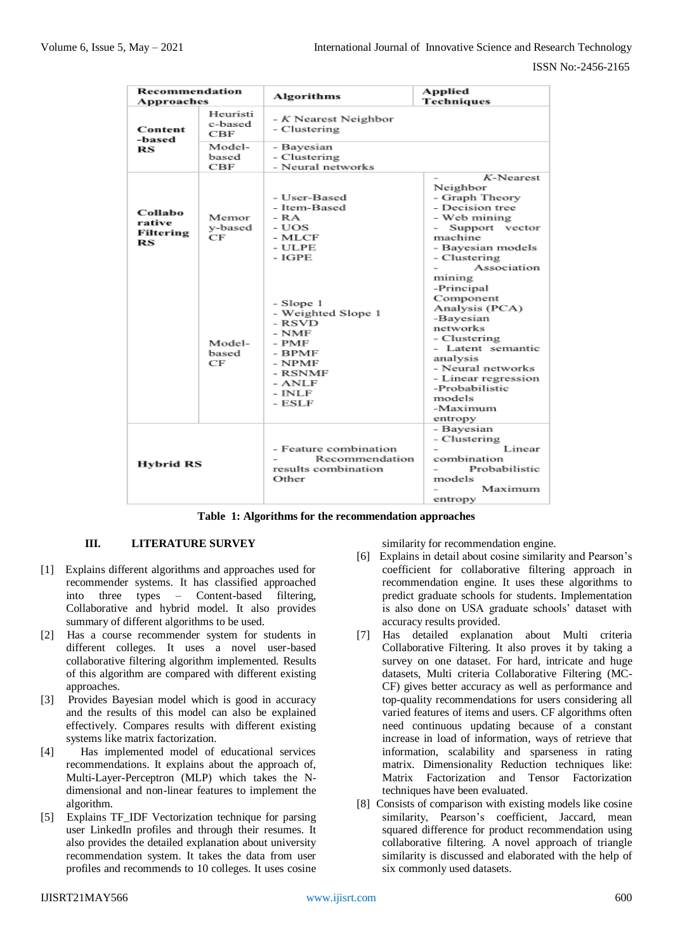| Recommendation<br>Approaches         |                             | Algorithms                                                                                                                 | Applied<br>Techniques                                                                                                                                                                                              |
|--------------------------------------|-----------------------------|----------------------------------------------------------------------------------------------------------------------------|--------------------------------------------------------------------------------------------------------------------------------------------------------------------------------------------------------------------|
| Content<br>-based<br>RS              | Heuristi<br>c-based<br>CBF  | - K Nearest Neighbor<br>- Clustering                                                                                       |                                                                                                                                                                                                                    |
|                                      | Model-<br>based<br>CBF      | - Bayesian<br>- Clustering<br>- Neural networks                                                                            |                                                                                                                                                                                                                    |
| Collabo<br>rative<br>Filtering<br>RS | Memor<br>y-based<br>CF      | - User-Based<br>- Item-Based<br>- RA<br>- UOS<br>- MLCF<br>- ULPE<br>$-IGPE$                                               | $K$ -Nearest<br>Neighbor<br>- Graph Theory<br>- Decision tree<br>- Web mining<br>Support vector<br>machine<br>- Bavesian models<br>- Clustering<br>Association<br>mining                                           |
|                                      | Model-<br>based<br>$\rm CF$ | - Slope 1<br>- Weighted Slope 1<br>- RSVD<br>$-$ NMF<br>- PMF<br>- BPMF<br>- NPMF<br>- RSNMF<br>- ANLF<br>- INLF<br>- ESLF | -Principal<br>Component<br>Analysis (PCA)<br>-Bayesian<br>networks<br>- Clustering<br>- Latent semantic<br>analysis<br>- Neural networks<br>- Linear regression<br>-Probabilistic<br>models<br>-Maximum<br>entropy |
| Hybrid RS                            |                             | - Feature combination<br>Recommendation<br>results combination<br>Other                                                    | - Bayesian<br>- Clustering<br>Linear<br>combination<br>Probabilistic<br>models<br>Maximum<br>entropy                                                                                                               |

**Table 1: Algorithms for the recommendation approaches**

## **III. LITERATURE SURVEY**

- [1] Explains different algorithms and approaches used for recommender systems. It has classified approached into three types – Content-based filtering, Collaborative and hybrid model. It also provides summary of different algorithms to be used.
- [2] Has a course recommender system for students in different colleges. It uses a novel user-based collaborative filtering algorithm implemented. Results of this algorithm are compared with different existing approaches.
- [3] Provides Bayesian model which is good in accuracy and the results of this model can also be explained effectively. Compares results with different existing systems like matrix factorization.
- [4] Has implemented model of educational services recommendations. It explains about the approach of, Multi-Layer-Perceptron (MLP) which takes the Ndimensional and non-linear features to implement the algorithm.
- [5] Explains TF\_IDF Vectorization technique for parsing user LinkedIn profiles and through their resumes. It also provides the detailed explanation about university recommendation system. It takes the data from user profiles and recommends to 10 colleges. It uses cosine

similarity for recommendation engine.

- [6] Explains in detail about cosine similarity and Pearson's coefficient for collaborative filtering approach in recommendation engine. It uses these algorithms to predict graduate schools for students. Implementation is also done on USA graduate schools' dataset with accuracy results provided.
- [7] Has detailed explanation about Multi criteria Collaborative Filtering. It also proves it by taking a survey on one dataset. For hard, intricate and huge datasets, Multi criteria Collaborative Filtering (MC-CF) gives better accuracy as well as performance and top-quality recommendations for users considering all varied features of items and users. CF algorithms often need continuous updating because of a constant increase in load of information, ways of retrieve that information, scalability and sparseness in rating matrix. Dimensionality Reduction techniques like: Matrix Factorization and Tensor Factorization techniques have been evaluated.
- [8] Consists of comparison with existing models like cosine similarity, Pearson's coefficient, Jaccard, mean squared difference for product recommendation using collaborative filtering. A novel approach of triangle similarity is discussed and elaborated with the help of six commonly used datasets.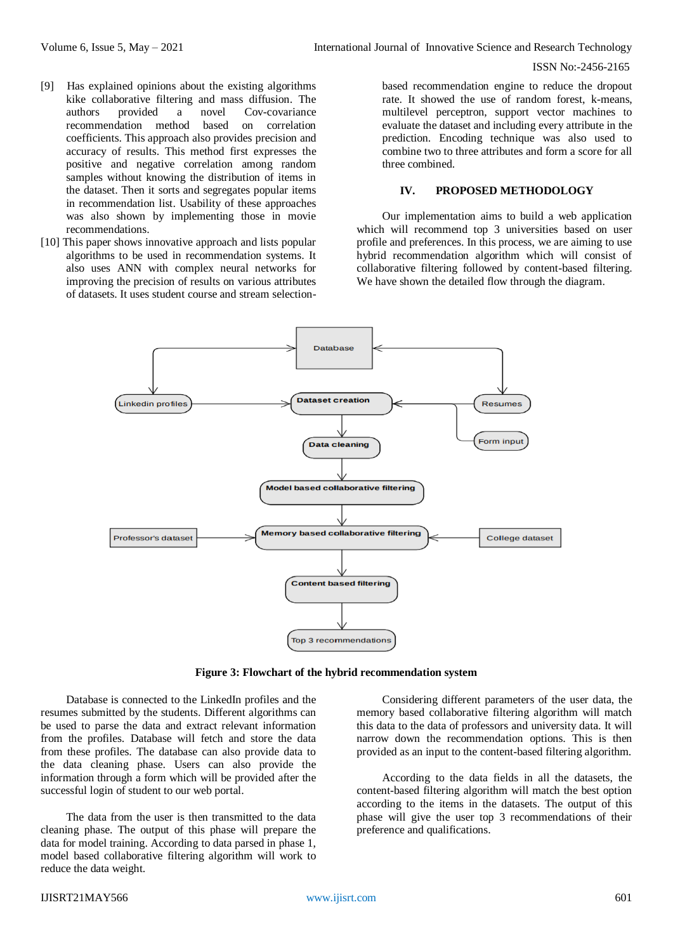#### ISSN No:-2456-2165

- [9] Has explained opinions about the existing algorithms kike collaborative filtering and mass diffusion. The authors provided a novel Cov-covariance recommendation method based on correlation coefficients. This approach also provides precision and accuracy of results. This method first expresses the positive and negative correlation among random samples without knowing the distribution of items in the dataset. Then it sorts and segregates popular items in recommendation list. Usability of these approaches was also shown by implementing those in movie recommendations.
- [10] This paper shows innovative approach and lists popular algorithms to be used in recommendation systems. It also uses ANN with complex neural networks for improving the precision of results on various attributes of datasets. It uses student course and stream selection-

based recommendation engine to reduce the dropout rate. It showed the use of random forest, k-means, multilevel perceptron, support vector machines to evaluate the dataset and including every attribute in the prediction. Encoding technique was also used to combine two to three attributes and form a score for all three combined.

#### **IV. PROPOSED METHODOLOGY**

Our implementation aims to build a web application which will recommend top 3 universities based on user profile and preferences. In this process, we are aiming to use hybrid recommendation algorithm which will consist of collaborative filtering followed by content-based filtering. We have shown the detailed flow through the diagram.



**Figure 3: Flowchart of the hybrid recommendation system**

Database is connected to the LinkedIn profiles and the resumes submitted by the students. Different algorithms can be used to parse the data and extract relevant information from the profiles. Database will fetch and store the data from these profiles. The database can also provide data to the data cleaning phase. Users can also provide the information through a form which will be provided after the successful login of student to our web portal.

The data from the user is then transmitted to the data cleaning phase. The output of this phase will prepare the data for model training. According to data parsed in phase 1, model based collaborative filtering algorithm will work to reduce the data weight.

Considering different parameters of the user data, the memory based collaborative filtering algorithm will match this data to the data of professors and university data. It will narrow down the recommendation options. This is then provided as an input to the content-based filtering algorithm.

According to the data fields in all the datasets, the content-based filtering algorithm will match the best option according to the items in the datasets. The output of this phase will give the user top 3 recommendations of their preference and qualifications.